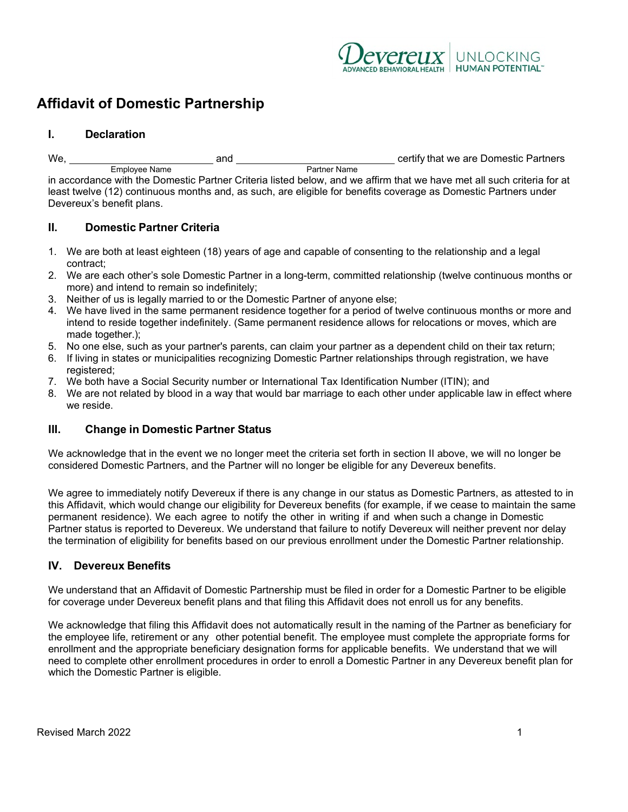

# **Affidavit of Domestic Partnership**

#### **I. Declaration**

We, and certify that we are Domestic Partners Employee Name

in accordance with the Domestic Partner Criteria listed below, and we affirm that we have met all such criteria for at least twelve (12) continuous months and, as such, are eligible for benefits coverage as Domestic Partners under Devereux's benefit plans.

### **II. Domestic Partner Criteria**

- 1. We are both at least eighteen (18) years of age and capable of consenting to the relationship and a legal contract;
- 2. We are each other's sole Domestic Partner in a long-term, committed relationship (twelve continuous months or more) and intend to remain so indefinitely;
- 3. Neither of us is legally married to or the Domestic Partner of anyone else;
- 4. We have lived in the same permanent residence together for a period of twelve continuous months or more and intend to reside together indefinitely. (Same permanent residence allows for relocations or moves, which are made together.);
- 5. No one else, such as your partner's parents, can claim your partner as a dependent child on their tax return;
- 6. If living in states or municipalities recognizing Domestic Partner relationships through registration, we have registered:
- 7. We both have a Social Security number or International Tax Identification Number (ITIN); and
- 8. We are not related by blood in a way that would bar marriage to each other under applicable law in effect where we reside.

#### **III. Change in Domestic Partner Status**

We acknowledge that in the event we no longer meet the criteria set forth in section II above, we will no longer be considered Domestic Partners, and the Partner will no longer be eligible for any Devereux benefits.

We agree to immediately notify Devereux if there is any change in our status as Domestic Partners, as attested to in this Affidavit, which would change our eligibility for Devereux benefits (for example, if we cease to maintain the same permanent residence). We each agree to notify the other in writing if and when such a change in Domestic Partner status is reported to Devereux. We understand that failure to notify Devereux will neither prevent nor delay the termination of eligibility for benefits based on our previous enrollment under the Domestic Partner relationship.

# **IV. Devereux Benefits**

We understand that an Affidavit of Domestic Partnership must be filed in order for a Domestic Partner to be eligible for coverage under Devereux benefit plans and that filing this Affidavit does not enroll us for any benefits.

We acknowledge that filing this Affidavit does not automatically result in the naming of the Partner as beneficiary for the employee life, retirement or any other potential benefit. The employee must complete the appropriate forms for enrollment and the appropriate beneficiary designation forms for applicable benefits. We understand that we will need to complete other enrollment procedures in order to enroll a Domestic Partner in any Devereux benefit plan for which the Domestic Partner is eligible.